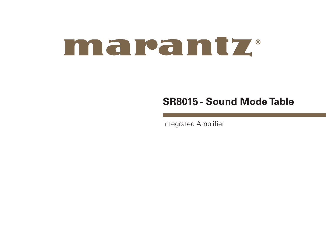# maramtz.

## **SR8015 - Sound Mode Table**

Integrated Amplifier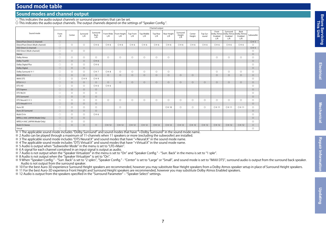### **Sound mode table**

#### **Sound modes and channel output**

 $\overline{\bigcirc}$  This indicates the audio output channels or surround parameters that can be set.

◎ This indicates the audio output channels. The output channels depend on the settings of "Speaker Config.".

|                                    |              |                |                 |                         |                      |                      |                         |                   | Channel output       |                    |                           |                      |                   |                                        |                                                       |                        |                |
|------------------------------------|--------------|----------------|-----------------|-------------------------|----------------------|----------------------|-------------------------|-------------------|----------------------|--------------------|---------------------------|----------------------|-------------------|----------------------------------------|-------------------------------------------------------|------------------------|----------------|
| Sound mode                         | Front<br>1/R | Center         | Surround<br>L/R | Surround<br>Back<br>L/R | Front Wide<br>1/R    | Front Height<br>1/R  | <b>Top Front</b><br>1/R | Top Middle<br>1/R | Top Rear<br>L/R      | Rear Height<br>1/R | Surround<br>Height<br>L/R | Center<br>Height     | Top Sur-<br>round | Front<br>Dolby Atmos<br>Enabled<br>L/R | Surround<br>Dolby Atmos Dolby Atmos<br>Enabled<br>L/R | Back<br>Enabled<br>L/R | Subwoofer      |
| Direct/Pure Direct (2-channel)     | $\circ$      |                |                 |                         |                      |                      |                         |                   |                      |                    |                           |                      |                   |                                        |                                                       |                        | ◎ ※ 5          |
| Direct/Pure Direct (Multi-channel) | $\bigcirc$   | $\circ$        | $\circledcirc$  | ◎※6                     | ◎※6                  | ◎※6                  | ◎※6                     | ◎※6               | ◎※6                  | ◎※6                | ◎※6                       | ◎※6                  | ◎※6               | ◎※6                                    | ◎※6                                                   | ◎ ※ 6                  | $\circ$        |
| DSD Direct (2-channel)             | $\circ$      |                |                 |                         |                      |                      |                         |                   |                      |                    |                           |                      |                   |                                        |                                                       |                        | <b>O</b> * 5   |
| DSD Direct (Multi-channel)         | $\bigcirc$   | $\circ$        | $\circledcirc$  |                         |                      |                      |                         |                   |                      |                    |                           |                      |                   |                                        |                                                       |                        | $\circ$        |
| Stereo                             | $\circ$      |                |                 |                         |                      |                      |                         |                   |                      |                    |                           |                      |                   |                                        |                                                       |                        | $\circ$        |
| Dolby Atmos                        | $\bigcirc$   | $\circ$        | $\circledcirc$  | $\circledcirc$          | $\circledcirc$       | $\circledcirc$       | $\circ$                 | $\circledcirc$    | $\circledcirc$       | $\circ$            |                           |                      |                   | $\circledcirc$                         | $\circledcirc$                                        | $\circ$                | $\circledcirc$ |
| Dolby TrueHD                       | $\bigcirc$   | $\circ$        | $\circledcirc$  | ◎※6                     |                      |                      |                         |                   |                      |                    |                           |                      |                   |                                        |                                                       |                        | $\circ$        |
| Dolby Digital Plus                 | $\bigcirc$   | $\circ$        | $\circledcirc$  | ◎※6                     |                      |                      |                         |                   |                      |                    |                           |                      |                   |                                        |                                                       |                        | $\odot$        |
| Dolby Digital                      | $\bigcirc$   | $\circ$        | $\circledcirc$  |                         |                      |                      |                         |                   |                      |                    |                           |                      |                   |                                        |                                                       |                        | $\circ$        |
| Dolby Surround * 1                 | $\bigcirc$   | $\circ$        | $\circledcirc$  | ◎※7                     | ◎※8                  | $\circ$              | $\circ$                 | $\circ$           | $\circledcirc$       | $\circ$            |                           |                      |                   | $\circledcirc$                         | $\circledcirc$                                        | $\circ$                | $\circledcirc$ |
| IMAX DTS:X * 2                     | $\bigcirc$   | $\circ$        | $\circledcirc$  | $\circ$                 | $\circledcirc$       | $\circledcirc$       | $\circledcirc$          | $\circledcirc$    | $\circledcirc$       | $\circledcirc$     | $\circledcirc$            | $\circledcirc$       |                   | $\odot$                                | $\odot$                                               | $\circledcirc$         | $\circ$        |
| <b>IMAX DTS</b>                    | $\bigcirc$   | $\circ$        | ◎※9             | ◎※9                     |                      |                      |                         |                   |                      |                    |                           |                      |                   |                                        |                                                       |                        | $\odot$        |
| $DTS:X \times 2$                   | $\bigcirc$   | $\circ$        | $\circledcirc$  | $\circ$                 | $\circledcirc$       | $\circledcirc$       | $\circledcirc$          | $\circledcirc$    | $\circledcirc$       | $\circledcirc$     | $\circledcirc$            | $\circ$              | $\circledcirc$    | $\odot$                                | $\circledcirc$                                        | $\circledcirc$         | $\circ$        |
| DTS-HD                             | $\bigcirc$   | $\circledcirc$ | $\circledcirc$  | ◎※6                     | ◎※6                  |                      |                         |                   |                      |                    |                           |                      |                   |                                        |                                                       |                        | $\circledcirc$ |
| <b>DTS</b> Express                 | $\bigcirc$   | $\circledcirc$ | $\circledcirc$  | $\circ$                 |                      |                      |                         |                   |                      |                    |                           |                      |                   |                                        |                                                       |                        | $\circ$        |
| DTS 96/24                          | $\circ$      | $\circledcirc$ | $\circledcirc$  | $\circledcirc$          |                      |                      |                         |                   |                      |                    |                           |                      |                   |                                        |                                                       |                        | $\circledcirc$ |
| <b>DTS Surround</b>                | $\bigcirc$   | $\circ$        | $\circledcirc$  | $\circ$                 |                      |                      |                         |                   |                      |                    |                           |                      |                   |                                        |                                                       |                        | $\circ$        |
| DTS Neural: X * 3                  | $\bigcirc$   | $\circledcirc$ | $\circledcirc$  | $\circledcirc$          | $\circledcirc$       | $\circledcirc$       | $\circledcirc$          | $\circledcirc$    | $\circledcirc$       | $\circledcirc$     | $\circledcirc$            | $\circledcirc$       | $\circledcirc$    | $\circledcirc$                         | $\circledcirc$                                        | $\circ$                | $\circledcirc$ |
| DTS Virtual: X % 4                 | $\bigcirc$   | $\circ$        | $\circledcirc$  | $\circ$                 |                      |                      |                         |                   |                      |                    |                           |                      |                   |                                        |                                                       |                        | $\circ$        |
| Auro-3D                            | $\bigcirc$   | $\circledcirc$ | $\circledcirc$  | $\circledcirc$          |                      | $\circledcirc$       |                         |                   |                      | ◎ ※ 10             | $\circledcirc$            | $\circledcirc$       | $\circledcirc$    | <b>◎</b> ※ 11                          | ◎※11                                                  | <b>◎※11</b>            | $\circledcirc$ |
| Auro-2D Surround                   | $\bigcirc$   | $\circ$        | $\circledcirc$  | $\circ$                 |                      |                      |                         |                   |                      |                    |                           |                      |                   |                                        |                                                       |                        | $\circ$        |
| Multi Ch In                        | $\bigcirc$   | $\circ$        | $\circ$         | ◎※6                     |                      |                      |                         |                   |                      |                    |                           |                      |                   |                                        |                                                       |                        | $\odot$        |
| MPEG-2 AAC (JAPAN Model Only)      | $\bigcirc$   | $\circ$        | $\circledcirc$  |                         |                      |                      |                         |                   |                      |                    |                           |                      |                   |                                        |                                                       |                        | $\circ$        |
| MPEG-4 AAC (JAPAN Model Only)      | $\bigcirc$   | $\circ$        | $\circledcirc$  |                         |                      |                      |                         |                   |                      |                    |                           |                      |                   |                                        |                                                       |                        | $\circledcirc$ |
| Multi Ch Stereo                    | $\circ$      | $\circ$        | $\circledcirc$  | $\circ$                 | <b>O</b> $\times$ 12 | <b>O</b> $\times$ 12 | <b>◎※12</b>             | <b>O</b> × 12     | <b>O</b> $\times$ 12 | <b>◎※12</b>        | <b>O</b> $\times$ 12      | <b>O</b> $\times$ 12 | <b>◎</b> ※ 12     | <b>O</b> × 12                          | <b>◎</b> ※ 12                                         | ◎※12                   | $\circledcirc$ |
| Virtual                            | $\bigcirc$   |                |                 |                         |                      |                      |                         |                   |                      |                    |                           |                      |                   |                                        |                                                       |                        | $\circ$        |

※ 1 The applicable sound mode includes "Dolby Surround" and sound modes that have "+Dolby Surround" in the sound mode name.

※ 2 Audio can be played through a maximum of 11-channels when 11 speakers or more (excluding the subwoofer) are installed.

※ 3 The applicable sound mode includes "DTS Neural:X" and sound modes that have "+Neural:X" in the sound mode name.

※ 4 The applicable sound mode includes "DTS Virtual:X" and sound modes that have "+Virtual:X" in the sound mode name.

※ 5 Audio is output when "Subwoofer Mode" in the menu is set to "LFE+Main".

※ 6 A signal for each channel contained in an input signal is output as audio.

※ 7 Audio is not output when the "Speaker Virtualizer" in the menu is set to "On" and "Speaker Config." - "Surr. Back" in the menu is set to "1 spkr".

※ 8 Audio is not output when the "Speaker Virtualizer" is set to "On".

※ 9 When "Speaker Config." - "Surr. Back" is set to "2 spkrs", "Speaker Config." - "Center" is set to "Large" or "Small", and sound mode is set to "IMAX DTS", surround audio is output from the surround back speaker. Audio is not output from the surround speaker.

※ 10 For the best Auro-3D experience Surround Height speakers are recommended, however you may substitute Rear Height speakers from a Dolby Atmos speaker setup in place of Surround Height speakers.

※ 11 For the best Auro-3D experience Front Height and Surround Height speakers are recommended, however you may substitute Dolby Atmos Enabled speakers.

※ 12 Audio is output from the speakers specified in the "Surround Parameter" – "Speaker Select" settings.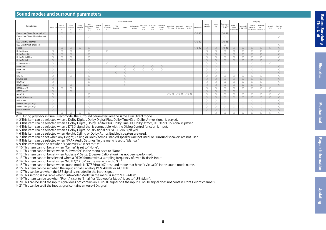#### **Sound modes and surround parameters**

|                                                  |            |                              |                              |                         |                                    |                         |                              |                        | Surround Parameter |                               |                           |                          |                          |        |                                                |                 |           |                    |                     |                                   |                                     |                         | Audyssey                                   |                     |              |                          |
|--------------------------------------------------|------------|------------------------------|------------------------------|-------------------------|------------------------------------|-------------------------|------------------------------|------------------------|--------------------|-------------------------------|---------------------------|--------------------------|--------------------------|--------|------------------------------------------------|-----------------|-----------|--------------------|---------------------|-----------------------------------|-------------------------------------|-------------------------|--------------------------------------------|---------------------|--------------|--------------------------|
| Sound mode                                       | Cinema EO  | Loudness<br>Management<br>※2 | Dynamic<br>Compression<br>※3 | Dialog<br>Control<br>%4 | Low<br>Frequency<br>Effects<br>* 5 | Speaker<br>Select<br>※6 | Speaker<br>Virtualizer<br>※7 | <b>DTS</b><br>Neural:X | <b>IMAX</b>        | <b>IMAX Audio</b><br>Settings | High Pass<br>Filter<br>※8 | Low Pass<br>Filter<br>※8 | Subwoofer<br>Mode<br>* 8 |        | Auro-Matic Auro-Matic<br>3D Preset 3D Strength | Auro-3D<br>Mode | Subwoofer | Dialog<br>Enhancer | Tone<br>※9          | Subwoofer<br>Level Adjust<br>※ 11 | MultEQ®<br><b>XT32</b><br>※ 12 ※ 13 | Dynamic EQ<br>※ 14 ※ 15 | Dynamic<br>Volume<br>※ 14 ※ 15   ※ 14 ※ 15 | Audyssey<br>LFC™    | M-DAX<br>※16 | <b>Bass Sync</b><br>3617 |
| Direct/Pure Direct (2-channel) ※ 1               |            | $\circ$                      | $\circ$                      |                         |                                    |                         |                              |                        |                    |                               |                           |                          |                          |        |                                                |                 | ○ ※ 18    |                    |                     | ○※18                              |                                     |                         |                                            |                     |              |                          |
| Direct/Pure Direct (Multi-channel)<br>$\times 1$ |            | $\bigcirc$                   | $\bigcirc$                   | $\bigcirc$              | $\bigcirc$                         |                         |                              |                        |                    |                               |                           |                          |                          |        |                                                |                 |           |                    |                     | $\bigcirc$                        |                                     |                         |                                            |                     |              | $\bigcirc$               |
| DSD Direct (2-channel)                           |            |                              |                              |                         |                                    |                         |                              |                        |                    |                               |                           |                          |                          |        |                                                |                 | ○※18      |                    |                     | ○※18                              |                                     |                         |                                            |                     |              |                          |
| DSD Direct (Multi-channel)                       |            |                              |                              |                         |                                    |                         |                              |                        |                    |                               |                           |                          |                          |        |                                                |                 |           |                    |                     | $\bigcirc$                        |                                     |                         |                                            |                     |              | $\bigcirc$               |
| Stereo                                           |            | $\circ$                      | $\circ$                      | $\circ$                 | $\circ$                            |                         |                              |                        |                    |                               |                           |                          |                          |        |                                                |                 | ○※19      | $\circ$            | $\circ$             | ○※19                              | $\circ$                             | $\circ$                 | $\circ$                                    | $\circ$             | $\circ$      | $\circ$                  |
| Dolby Atmos                                      | $\bigcirc$ | $\bigcirc$                   | $\bigcirc$                   |                         | $\bigcirc$                         |                         | $\bigcirc$                   |                        |                    |                               |                           |                          |                          |        |                                                |                 |           | $\bigcirc$         | $\bigcirc$          |                                   | $\bigcirc$                          | $\bigcirc$              | $\bigcirc$                                 | $\bigcirc$          |              | $\bigcirc$               |
| Dolby TrueHD                                     | $\circ$    | $\circ$                      | $\circ$                      |                         | $\circ$                            |                         |                              |                        |                    |                               |                           |                          |                          |        |                                                |                 |           | $\circ$            | $\circlearrowright$ | $\circ$                           | $\circ$                             | $\circ$                 | $\circ$                                    | $\circ$             |              | $\bigcirc$               |
| Dolby Digital Plus                               | $\circ$    | $\bigcirc$                   | $\bigcirc$                   |                         | $\bigcirc$                         |                         |                              |                        |                    |                               |                           |                          |                          |        |                                                |                 |           | $\circ$            | $\circ$             | $\circ$                           | $\circ$                             | $\circ$                 | $\circ$                                    | $\circ$             |              | $\bigcirc$               |
| Dolby Digital                                    | $\circ$    | $\circ$                      | $\circ$                      |                         | $\circ$                            |                         |                              |                        |                    |                               |                           |                          |                          |        |                                                |                 |           | $\circ$            | $\circ$             | $\circ$                           | $\bigcirc$                          | $\circ$                 | $\circ$                                    | $\circ$             |              | $\bigcirc$               |
| Dolby Surround                                   | $\bigcirc$ | $\bigcirc$                   | $\bigcirc$                   |                         |                                    |                         | $\bigcirc$                   |                        |                    |                               |                           |                          |                          |        |                                                |                 |           | $\circ$            | $\circ$             | $\bigcirc$                        | $\circ$                             | $\circ$                 | $\circ$                                    | $\circ$             | $\circ$      |                          |
| <b>IMAX DTS:X</b>                                | $\circ$    |                              | $\circ$                      | $\circ$                 | $\circ$                            |                         |                              | $\bigcirc$             | $\circ$            | $\circ$                       | $\circ$                   | $\circ$                  | $\bigcirc$               |        |                                                |                 |           | $\circ$            | $\circlearrowright$ | $\circ$                           | $\bigcirc$                          | $\circ$                 | $\circ$                                    | $\circ$             |              | $\circ$                  |
| <b>IMAX DTS</b>                                  | $\circ$    |                              | $\bigcirc$                   |                         | $\bigcirc$                         |                         |                              |                        | $\bigcirc$         | $\bigcirc$                    | $\bigcirc$                | $\bigcirc$               | $\circ$                  |        |                                                |                 |           | $\circ$            | $\circ$             | $\bigcirc$                        | $\circ$                             | $\circ$                 | $\circ$                                    | $\bigcirc$          |              | $\bigcirc$               |
| DTS:X                                            | $\circ$    |                              | $\circ$                      | $\bigcirc$              | $\circ$                            |                         |                              | $\bigcirc$             | $\circ$            |                               |                           |                          |                          |        |                                                |                 |           | $\circ$            | $\circ$             | $\circ$                           | $\bigcirc$                          | $\circ$                 | $\circ$                                    | $\circ$             |              | $\bigcirc$               |
| DTS-HD                                           | $\circ$    |                              | $\bigcirc$                   |                         | $\bigcirc$                         |                         |                              |                        | O                  |                               |                           |                          |                          |        |                                                |                 |           | $\circ$            | $\circ$             | $\bigcirc$                        | $\circ$                             | O                       | $\circ$                                    | $\bigcirc$          |              | $\bigcirc$               |
| <b>DTS</b> Express                               | $\circ$    |                              |                              |                         | $\circ$                            |                         |                              |                        | $\circ$            |                               |                           |                          |                          |        |                                                |                 |           | $\circ$            | $\circ$             | $\circ$                           | $\bigcirc$                          | $\circ$                 | $\circ$                                    | $\circ$             |              | $\bigcirc$               |
| DTS 96/24                                        | $\bigcirc$ |                              |                              |                         | $\bigcirc$                         |                         |                              |                        | $\bigcirc$         |                               |                           |                          |                          |        |                                                |                 |           | $\bigcirc$         | $\circ$             | $\bigcirc$                        | $\circ$                             | $\bigcirc$              | $\bigcirc$                                 | $\bigcirc$          |              | $\bigcirc$               |
| <b>DTS</b> Surround                              | $\circ$    |                              | $\circ$                      |                         | $\circ$                            |                         |                              |                        | $\circ$            |                               |                           |                          |                          |        |                                                |                 |           | $\circ$            | $\circ$             | $\circ$                           | $\circ$                             | $\circ$                 | $\circ$                                    | $\circ$             |              | $\bigcirc$               |
| DTS Neural:X                                     | $\bigcirc$ | $\bigcap$                    | $\bigcirc$                   |                         |                                    |                         |                              |                        |                    |                               |                           |                          |                          |        |                                                |                 |           | $\bigcirc$         | $\circ$             | $\bigcirc$                        | $\bigcirc$                          | $\bigcirc$              | $\bigcirc$                                 | $\bigcirc$          | $\circ$      |                          |
| DTS Virtual:X                                    | $\circ$    |                              | $\bigcirc$                   |                         |                                    |                         |                              |                        |                    |                               |                           |                          |                          |        |                                                |                 |           | $\circ$            | $\circ$             | $\circ$                           | $\circ$                             |                         |                                            |                     | $\circ$      |                          |
| Auro-3D                                          | $\bigcirc$ |                              |                              |                         | $\bigcirc$                         |                         |                              |                        |                    |                               |                           |                          |                          | ◯ ※ 20 | ○ ※ 20                                         | ◯ ※ 21          |           | $\bigcirc$         | $\bigcirc$          | $\bigcirc$                        | $\circ$                             | $\bigcirc$              | $\circ$                                    | $\bigcirc$          | $\bigcirc$   | $\bigcirc$               |
| Auro-2D Surround                                 | $\circ$    |                              |                              |                         | $\bigcirc$                         |                         |                              |                        |                    |                               |                           |                          |                          |        |                                                |                 |           | $\circ$            | $\circlearrowright$ | $\circlearrowright$               | $\bigcirc$                          | $\circlearrowright$     | $\bigcirc$                                 | $\circlearrowright$ | $\circ$      | $\circ$                  |
| Multi Ch In                                      | $\bigcirc$ |                              |                              |                         | $\bigcirc$                         |                         |                              |                        |                    |                               |                           |                          |                          |        |                                                |                 |           | $\circ$            | $\circ$             | $\circ$                           | $\circ$                             | $\circ$                 | $\circ$                                    | $\circ$             |              | $\bigcirc$               |
| MPEG-4 AAC (JP Only)                             | $\circ$    |                              |                              |                         | $\circ$                            |                         |                              |                        |                    |                               |                           |                          |                          |        |                                                |                 |           | $\circ$            | $\circlearrowright$ | $\circ$                           | $\bigcirc$                          | $\circ$                 | $\circ$                                    | $\circ$             |              | $\bigcirc$               |
| MPEG-2 AAC (JP Only)                             | $\circ$    |                              |                              |                         | $\bigcirc$                         |                         |                              |                        |                    |                               |                           |                          |                          |        |                                                |                 |           | $\circ$            | $\circ$             | $\circ$                           | $\circ$                             | $\circ$                 | $\circ$                                    | $\circ$             |              | $\bigcirc$               |
| Multi Ch Stereo                                  | $\circ$    | $\circ$                      | $\bigcirc$                   | $\circ$                 | $\bigcirc$                         | O                       |                              |                        |                    |                               |                           |                          |                          |        |                                                |                 |           | $\circ$            | $\circlearrowright$ | $\circ$                           | $\bigcirc$                          | $\circ$                 | $\bigcirc$                                 | $\bigcirc$          | $\circ$      | $\circ$                  |
| Virtual                                          |            | ◠                            | $\bigcirc$                   | ∩                       | $\bigcirc$                         |                         |                              |                        |                    |                               |                           |                          |                          |        |                                                |                 |           |                    | $\bigcirc$          | $\bigcirc$                        | $\bigcirc$                          | $\bigcirc$              | $\bigcirc$                                 | $\bigcirc$          | $\bigcirc$   | $\bigcirc$               |

※ 1 During playback in Pure Direct mode, the surround parameters are the same as in Direct mode.

※ 2 This item can be selected when a Dolby Digital, Dolby Digital Plus, Dolby TrueHD or Dolby Atmos signal is played.

※ 3 This item can be selected when a Dolby Digital, Dolby Digital Plus, Dolby TrueHD, Dolby Atmos, DTS:X or DTS signal is played.

※ 4 This item can be selected when a DTS:X signal that is compatible with the Dialog Control function is input.

※ 5 This item can be selected when a Dolby Digital or DTS signal or DVD-Audio is played.

※ 6 This item can be selected when Height, Ceiling or Dolby Atmos Enabled speakers are used.

※ 7 This item can be set when any Height, Ceiling or Dolby Atmos Enabled speakers are not used, or Surround speakers are not used.

※ 8 This item can be selected when "IMAX Audio Settings" in the menu is set to "Manual".

※ 9 This item cannot be set when "Dynamic EQ" is set to "On".

※ 10 This item cannot be set when "Center" is set to "None".

※ 11 This item cannot be set when "Subwoofer" in the menu is set to "None".

※ 12 This item cannot be set when Audyssey® Setup (Speaker Calibration) has not been performed.

※ 13 This item cannot be selected when a DTS:X format with a sampling frequency of over 48 kHz is input.

※ 14 This item cannot be set when "MultEQ® XT32" in the menu is set to "Off".

※ 15 This item cannot be set when sound mode is "DTS Virtual:X" or sound mode that have "+Virtual:X" in the sound mode name.

※ 16 This item can be set when the input signal is analog, PCM 48 kHz or 44.1 kHz.

※ 17 This can be set when the LFE signal is included in the input signal.

※ 18 This setting is available when "Subwoofer Mode" in the menu is set to "LFE+Main".

※ 19 This item can be set when "Front" is set to "Small" or "Subwoofer Mode" is set to "LFE+Main".

※ 20 This can be set if the input signal does not contain an Auro-3D signal or if the input Auro-3D signal does not contain Front Height channels.

※ 21 This can be set if the input signal contains an Auro-3D signal.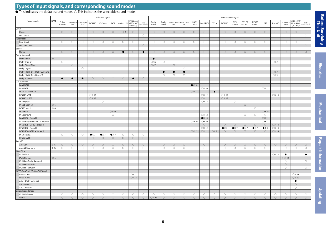#### **Types of input signals, and corresponding sound modes**

#### $\bullet$  This indicates the default sound mode.  $\bigcirc$  This indicates the selectable sound mode.

|                                   |                          |                     |                     |                                     |                      | 2-channel signal     |                      |                       |                                                    |                     | Multi-channel signal     |                     |                     |                                     |                       |                            |                     |                      |                       |                      |                      |                      |                     |                       |                                        |                     |                                      |
|-----------------------------------|--------------------------|---------------------|---------------------|-------------------------------------|----------------------|----------------------|----------------------|-----------------------|----------------------------------------------------|---------------------|--------------------------|---------------------|---------------------|-------------------------------------|-----------------------|----------------------------|---------------------|----------------------|-----------------------|----------------------|----------------------|----------------------|---------------------|-----------------------|----------------------------------------|---------------------|--------------------------------------|
| Sound mode                        | <b>NOTE</b>              | Dolby<br>TrueHD     | Plus                | Dolby Digital Dolby Digital<br>(EX) | DTS-HD               | DTS Express          | <b>DTS</b>           |                       | MPEG-2 AAC<br>Analog / PCM MPEG-4 AAC<br>(JP Only) | DSD<br>er Audio CD  | Dolby<br>Atmos           | Dolby<br>TrueHD     | Plus                | Dolby Digital Dolby Digital<br>(EX) | IMAX<br>DTS:X         | <b>IMAX DTS</b>            | DTS:X               | DTS-HD               | <b>DTS</b><br>Express | DTS ES<br>Dscrt6.1   | DTS ES<br>Mtrx6.1    | <b>DTS</b>           | Auro-3D             | PCM multi-<br>channel | MPEG-2 AAC/<br>MPEG-4 AAC<br>(JP Only) | DSD<br>Der Audio CD | <b>Before Servicing</b><br>This Unit |
| Direct                            |                          |                     |                     |                                     |                      |                      |                      |                       |                                                    |                     |                          |                     |                     |                                     |                       |                            |                     |                      |                       |                      |                      |                      |                     |                       |                                        |                     |                                      |
| Direct                            |                          | $\circ$             | $\bigcirc$          | $\circ$                             | $\circlearrowright$  | $\circlearrowright$  | $\circlearrowright$  | $\bigcirc\mathbb{X}2$ | $\circ$                                            |                     | $\circ$                  | $\circlearrowright$ | $\circlearrowright$ | $\circlearrowright$                 | $\circlearrowright$   | $\circlearrowright$        | $\circlearrowright$ | $\circ$              | $\circlearrowright$   | $\circlearrowright$  | $\circlearrowright$  | $\circlearrowright$  | $\circlearrowright$ | $\circlearrowright$   | $\circlearrowright$                    |                     |                                      |
| DSD Direct                        |                          |                     |                     |                                     |                      |                      |                      |                       |                                                    | $\circlearrowright$ |                          |                     |                     |                                     |                       |                            |                     |                      |                       |                      |                      |                      |                     |                       |                                        | $\circlearrowright$ |                                      |
| Pure Direct                       |                          |                     |                     |                                     |                      |                      |                      |                       |                                                    |                     |                          |                     |                     |                                     |                       |                            |                     |                      |                       |                      |                      |                      |                     |                       |                                        |                     |                                      |
| Pure Direct                       |                          | $\circ$             | $\circ$             | $\circ$                             | $\circ$              | $\circ$              | $\circ$              | $\circ$               | $\circ$                                            |                     | $\circ$                  | $\circ$             | $\circ$             | $\circ$                             | $\circ$               | $\circ$                    | $\circ$             | $\circ$              | $\circ$               | $\circ$              | $\circ$              | $\circ$              | $\circ$             | $\circ$               | $\circ$                                |                     |                                      |
| DSD Pure Direct                   |                          |                     |                     |                                     |                      |                      |                      |                       |                                                    | $\circlearrowright$ |                          |                     |                     |                                     |                       |                            |                     |                      |                       |                      |                      |                      |                     |                       |                                        | $\bigcirc$          |                                      |
| Stereo                            |                          |                     |                     |                                     |                      |                      |                      |                       |                                                    |                     |                          |                     |                     |                                     |                       |                            |                     |                      |                       |                      |                      |                      |                     |                       |                                        |                     |                                      |
| Stereo                            |                          | $\circ$             | $\circ$             | $\circ$                             | $\circ$              | $\circ$              | $\circ$              | $\bullet$             | $\circ$                                            | $\bullet$           | $\circ$                  | $\circ$             | $\circ$             | $\circ$                             | $\circ$               | $\bigcirc$                 | $\circ$             | $\circ$              | $\circ$               | $\circ$              | $\circ$              | $\circ$              | $\circ$             | $\circ$               | $\circ$                                | $\circ$             |                                      |
| Dolby Surround                    |                          |                     |                     |                                     |                      |                      |                      |                       |                                                    |                     |                          |                     |                     |                                     |                       |                            |                     |                      |                       |                      |                      |                      |                     |                       |                                        |                     |                                      |
| Dolby Atmos                       | $\times 1$               |                     |                     |                                     |                      |                      |                      |                       |                                                    |                     | $\bullet$                |                     |                     |                                     |                       |                            |                     |                      |                       |                      |                      |                      |                     |                       |                                        |                     |                                      |
| Dolby TrueHD                      |                          | $\circ$             |                     |                                     |                      |                      |                      |                       |                                                    |                     | $\bigcirc\mathbb{X}$ 3   | $\circ$             |                     |                                     |                       |                            |                     |                      |                       |                      |                      |                      | ○※4                 |                       |                                        |                     |                                      |
| Dolby Digital Plus                |                          |                     | $\circlearrowright$ |                                     |                      |                      |                      |                       |                                                    |                     | $\circ$ $\times$ 5       |                     | $\circlearrowright$ |                                     |                       |                            |                     |                      |                       |                      |                      |                      |                     |                       |                                        |                     | <b>Electrical</b>                    |
| Dolby Digital                     |                          |                     |                     | $\circlearrowright$                 |                      |                      |                      |                       |                                                    |                     |                          |                     |                     | $\circlearrowright$                 |                       |                            |                     |                      |                       |                      |                      |                      |                     |                       |                                        |                     |                                      |
| Dolby (D+) (HD) + Dolby Surround  |                          |                     |                     |                                     |                      |                      |                      |                       |                                                    |                     |                          |                     | $\bullet$           | $\bullet$                           |                       |                            |                     |                      |                       |                      |                      |                      | ○※4                 |                       |                                        |                     |                                      |
| Dolby (D+) (HD) + Neural:X        |                          |                     |                     |                                     |                      |                      |                      |                       |                                                    |                     |                          | $\circ$             | $\circ$             | $\circ$                             |                       |                            |                     |                      |                       |                      |                      |                      | ○※4                 |                       |                                        |                     |                                      |
| Dolby Surround                    |                          | $\bullet$           | $\bullet$           | $\bullet$                           | $\circlearrowright$  | $\circlearrowright$  | $\circlearrowright$  | $\circlearrowright$   | $\bullet$                                          | $\circlearrowright$ |                          |                     |                     |                                     |                       |                            |                     |                      |                       |                      |                      |                      |                     |                       |                                        |                     |                                      |
| DTS Surround                      |                          |                     |                     |                                     |                      |                      |                      |                       |                                                    |                     |                          |                     |                     |                                     |                       |                            |                     |                      |                       |                      |                      |                      |                     |                       |                                        |                     |                                      |
| <b>IMAX DTS:X</b>                 |                          |                     |                     |                                     |                      |                      |                      |                       |                                                    |                     |                          |                     |                     |                                     | $\bullet$ $\times$ 10 |                            |                     |                      |                       |                      |                      |                      |                     |                       |                                        |                     |                                      |
| <b>IMAX DTS</b>                   |                          |                     |                     |                                     |                      |                      |                      |                       |                                                    |                     |                          |                     |                     |                                     |                       | $\oslash$ $\frac{1}{2}$ 10 |                     |                      |                       |                      |                      | ○※11                 |                     |                       |                                        |                     |                                      |
| <b>DTS:X MSTR / DTS:X</b>         |                          |                     |                     |                                     |                      |                      |                      |                       |                                                    |                     |                          |                     |                     |                                     |                       |                            | $\bullet$           |                      |                       |                      |                      |                      |                     |                       |                                        |                     |                                      |
| <b>DTS-HD MSTR</b>                |                          |                     |                     |                                     |                      |                      |                      |                       |                                                    |                     |                          |                     |                     |                                     | ○ ※ 12                |                            |                     | ○※13                 |                       |                      |                      |                      | ○※14                |                       |                                        |                     |                                      |
|                                   |                          |                     |                     |                                     | ○※13                 |                      |                      |                       |                                                    |                     |                          |                     |                     |                                     |                       | ○※12                       |                     |                      |                       |                      |                      |                      |                     |                       |                                        |                     |                                      |
| <b>DTS-HD HI RES</b>              |                          |                     |                     |                                     | ○※15                 |                      |                      |                       |                                                    |                     |                          |                     |                     |                                     |                       | ○※12                       |                     | ○ ※ 15               |                       |                      |                      |                      |                     |                       |                                        |                     |                                      |
| <b>DTS</b> Express                |                          |                     |                     |                                     |                      | $\circ$              |                      |                       |                                                    |                     |                          |                     |                     |                                     |                       | ○※12                       |                     |                      | $\circ$               |                      |                      |                      |                     |                       |                                        |                     |                                      |
| DTS ES Dscrt 6.1                  | $\times 6$               |                     |                     |                                     |                      |                      |                      |                       |                                                    |                     |                          |                     |                     |                                     |                       |                            |                     |                      |                       | $\circlearrowright$  |                      |                      |                     |                       |                                        |                     | <b>Mechanical</b>                    |
| DTS ES Mtrx 6.1                   | $\divideontimes$ 6       |                     |                     |                                     |                      |                      |                      |                       |                                                    |                     |                          |                     |                     |                                     |                       |                            |                     |                      |                       |                      | $\circ$              |                      |                     |                       |                                        |                     |                                      |
| DTS 96/24                         |                          |                     |                     |                                     |                      |                      | ○ ※ 16               |                       |                                                    |                     |                          |                     |                     |                                     |                       |                            |                     |                      |                       |                      |                      | ○ ※ 16               |                     |                       |                                        |                     |                                      |
| DTS Surround                      |                          |                     |                     |                                     |                      |                      | $\circ$              |                       |                                                    |                     |                          |                     |                     |                                     |                       | ○※12                       |                     |                      |                       | $\circlearrowright$  | $\circlearrowright$  | $\circ$              |                     |                       |                                        |                     |                                      |
| IMAX DTS + Neural:X               |                          |                     |                     |                                     |                      |                      |                      |                       |                                                    |                     |                          |                     |                     |                                     |                       | $\bullet \times 10$        |                     |                      |                       |                      |                      | ○※11                 |                     |                       |                                        |                     |                                      |
| IMAX DTS / IMAX DTS:X + Virtual:X |                          |                     |                     |                                     |                      |                      |                      |                       |                                                    |                     |                          |                     |                     |                                     | ○ ※ 10                | $\oslash$ $*$ 10           |                     |                      |                       |                      |                      | ○※11                 |                     |                       |                                        |                     |                                      |
| DTS (-HD) + Dolby Surround        |                          |                     |                     |                                     |                      |                      |                      |                       |                                                    |                     |                          |                     |                     |                                     |                       | $\circlearrowright$        |                     | $\circlearrowright$  | $\circlearrowright$   | $\circlearrowright$  | $\circlearrowright$  | $\circlearrowright$  | ○※14                |                       |                                        |                     |                                      |
| DTS (-HD) + Neural:X              |                          |                     |                     |                                     |                      |                      |                      |                       |                                                    |                     |                          |                     |                     |                                     |                       | ○※12                       |                     | $\bullet$ $\times$ 7 | $\bullet$ $\times$ 7  | $\bullet$ $\times$ 7 | $\bullet$ $\times$ 7 | $\bullet$ $\times$ 7 | ○※14                |                       |                                        |                     |                                      |
| DTS (-HD) / DTS:X + Virtual:X     |                          |                     |                     |                                     |                      |                      |                      |                       |                                                    |                     |                          |                     |                     |                                     | ○ ※ 12                | ○ ※ 12                     | $\bigcirc\%8$       | $\circ$              | $\circlearrowright$   | $\circlearrowright$  | $\circlearrowright$  | $\circ$              | ◯ ※ 14              |                       |                                        |                     |                                      |
| DTS Neural:X                      |                          | $\circlearrowright$ | $\circlearrowright$ | $\circlearrowright$                 | $\bullet$ $\times$ 7 | $\bullet$ $\times$ 7 | $\bullet$ $\times$ 7 | $\circlearrowright$   | $\circlearrowright$                                | $\circlearrowright$ |                          |                     |                     |                                     |                       |                            |                     |                      |                       |                      |                      |                      |                     |                       |                                        |                     |                                      |
| <b>DTS Virtual:X</b>              |                          |                     |                     |                                     | $\circ$              | $\circlearrowright$  | $\circ$              | $\circlearrowright$   | $\circ$                                            | $\circlearrowright$ |                          |                     |                     |                                     |                       |                            |                     |                      |                       |                      |                      |                      |                     |                       |                                        |                     |                                      |
| Auro-3D                           |                          |                     |                     |                                     |                      |                      |                      |                       |                                                    |                     |                          |                     |                     |                                     |                       |                            |                     |                      |                       |                      |                      |                      |                     |                       |                                        |                     |                                      |
| Auro-3D                           | $\boldsymbol{\times}$ 17 | $\circlearrowright$ | $\bigcirc$          | $\circlearrowright$                 | $\circlearrowright$  | $\circlearrowright$  | $\circlearrowright$  | $\circlearrowright$   | $\circlearrowright$                                | $\circlearrowright$ |                          | $\circ$             | $\circlearrowright$ | $\circlearrowright$                 |                       | $\bigcirc$                 |                     | $\circlearrowright$  | $\circlearrowright$   | $\circlearrowright$  | $\circlearrowright$  | $\circlearrowright$  | $\circlearrowright$ | $\circlearrowright$   | $\bigcirc$                             | $\bigcirc$          | <b>Repair Information</b>            |
| Auro-2D Surround                  | ※ 17                     | $\circ$             | $\circ$             | $\circ$                             | $\circ$              | $\circ$              | $\circ$              | $\circ$               | $\circ$                                            | $\circ$             |                          | $\circ$             | $\circ$             | $\circ$                             |                       | $\circ$                    |                     | $\circ$              | $\circlearrowright$   | $\circ$              | $\circ$              | $\circ$              | $\circ$             | $\circlearrowright$   | $\circ$                                | $\circlearrowright$ |                                      |
| Multi Ch In                       |                          |                     |                     |                                     |                      |                      |                      |                       |                                                    |                     |                          |                     |                     |                                     |                       |                            |                     |                      |                       |                      |                      |                      |                     |                       |                                        |                     |                                      |
| Multi Ch In                       |                          |                     |                     |                                     |                      |                      |                      |                       |                                                    |                     |                          |                     |                     |                                     |                       |                            |                     |                      |                       |                      |                      |                      | $\circ$ * 18        | $\bullet$             |                                        | $\bullet$           |                                      |
| Multi Ch In 7.1                   | $\times 6$               |                     |                     |                                     |                      |                      |                      |                       |                                                    |                     |                          |                     |                     |                                     |                       |                            |                     |                      |                       |                      |                      |                      |                     | ○※19                  |                                        |                     |                                      |
| Multi In + Dolby Surround         |                          |                     |                     |                                     |                      |                      |                      |                       |                                                    |                     |                          |                     |                     |                                     |                       |                            |                     |                      |                       |                      |                      |                      |                     | $\circ$               |                                        | $\circ$             |                                      |
| Multi In + Neural:X               |                          |                     |                     |                                     |                      |                      |                      |                       |                                                    |                     |                          |                     |                     |                                     |                       |                            |                     |                      |                       |                      |                      |                      |                     | $\circlearrowright$   |                                        | $\bigcirc$          |                                      |
| Multi In + Virtual:X              |                          |                     |                     |                                     |                      |                      |                      |                       |                                                    |                     |                          |                     |                     |                                     |                       |                            |                     |                      |                       |                      |                      |                      |                     | $\circlearrowright$   |                                        | $\bigcirc$          |                                      |
| MPEG-2 AAC/MPEG-4 AAC (JP Only)   |                          |                     |                     |                                     |                      |                      |                      |                       |                                                    |                     |                          |                     |                     |                                     |                       |                            |                     |                      |                       |                      |                      |                      |                     |                       |                                        |                     |                                      |
| MPEG-2 AAC                        |                          |                     |                     |                                     |                      |                      |                      |                       | $\bigcirc\%$ 21                                    |                     |                          |                     |                     |                                     |                       |                            |                     |                      |                       |                      |                      |                      |                     |                       | ○※ 21                                  |                     |                                      |
| MPEG-4 AAC                        |                          |                     |                     |                                     |                      |                      |                      |                       | ○ ※ 22                                             |                     |                          |                     |                     |                                     |                       |                            |                     |                      |                       |                      |                      |                      |                     |                       | ○※ 22                                  |                     |                                      |
| AAC + Dolby Surround              |                          |                     |                     |                                     |                      |                      |                      |                       |                                                    |                     |                          |                     |                     |                                     |                       |                            |                     |                      |                       |                      |                      |                      |                     |                       | $\bullet$                              |                     |                                      |
| $AAC + Neural:X$                  |                          |                     |                     |                                     |                      |                      |                      |                       |                                                    |                     |                          |                     |                     |                                     |                       |                            |                     |                      |                       |                      |                      |                      |                     |                       | $\bigcirc$                             |                     |                                      |
| AAC + Virtual:X                   |                          |                     |                     |                                     |                      |                      |                      |                       |                                                    |                     |                          |                     |                     |                                     |                       |                            |                     |                      |                       |                      |                      |                      |                     |                       | $\circ$                                |                     |                                      |
|                                   |                          |                     |                     |                                     |                      |                      |                      |                       |                                                    |                     |                          |                     |                     |                                     |                       |                            |                     |                      |                       |                      |                      |                      |                     |                       |                                        |                     |                                      |
| Original sound mode               |                          |                     |                     |                                     |                      |                      |                      |                       |                                                    |                     |                          |                     |                     |                                     |                       |                            |                     |                      |                       |                      |                      |                      |                     |                       |                                        |                     | Updat                                |
| Multi Ch Stereo                   |                          | $\circ$             | $\circlearrowright$ | $\circlearrowright$                 | $\circlearrowright$  | $\circlearrowright$  | $\circ$              | $\circ$               | $\circ$                                            | $\circ$             | $\circ$                  | $\circ$             | $\circlearrowright$ | $\circ$                             | $\circlearrowright$   | $\circlearrowright$        | $\bigcirc$          | $\circ$              | $\circ$               | $\circ$              | $\circlearrowright$  | $\circ$              | $\circ$             | $\circlearrowright$   | $\circlearrowright$                    | $\circ$             |                                      |
| Virtual                           |                          | $\circ$             | $\circ$             | $\circ$                             | $\circ$              | $\circ$              | $\circ$              | $\circ$               | $\circ$                                            | $\circ$             | $\oslash$ $\frac{1}{20}$ | $\circ$             | $\circ$             | $\circ$                             | $\circlearrowright$   | $\circ$                    | $\circ$             | $\circ$              | $\circ$               | $\circ$              | $\circ$              | $\circ$              | $\circ$             | $\circ$               | $\circ$                                | $\circ$             |                                      |